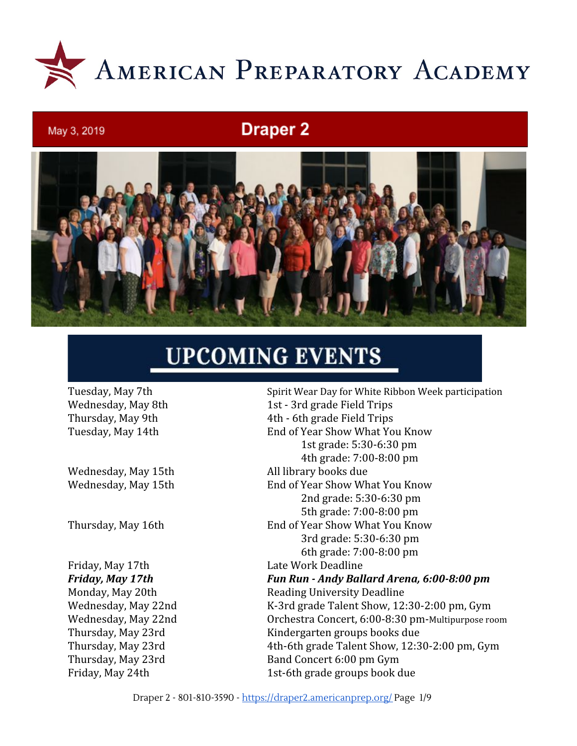

# **Draper 2**



# **UPCOMING EVENTS**

May 3, 2019

Tuesday, May 7th Spirit Wear Day for White Ribbon Week participation Wednesday, May 8th 1st - 3rd grade Field Trips Thursday, May 9th 4th - 6th grade Field Trips Tuesday, May 14th End of Year Show What You Know 1st grade: 5:30-6:30 pm 4th grade: 7:00-8:00 pm Wednesday, May 15th All library books due Wednesday, May 15th End of Year Show What You Know 2nd grade: 5:30-6:30 pm 5th grade: 7:00-8:00 pm Thursday, May 16th End of Year Show What You Know 3rd grade: 5:30-6:30 pm 6th grade: 7:00-8:00 pm Friday, May 17th Late Work Deadline *Friday, May 17th Fun Run - Andy Ballard Arena, 6:00-8:00 pm* Monday, May 20th Reading University Deadline Wednesday, May 22nd K-3rd grade Talent Show, 12:30-2:00 pm, Gym Wednesday, May 22nd Orchestra Concert, 6:00-8:30 pm-Multipurpose room Thursday, May 23rd Kindergarten groups books due Thursday, May 23rd 4th-6th grade Talent Show, 12:30-2:00 pm, Gym Thursday, May 23rd Band Concert 6:00 pm Gym Friday, May 24th 1st-6th grade groups book due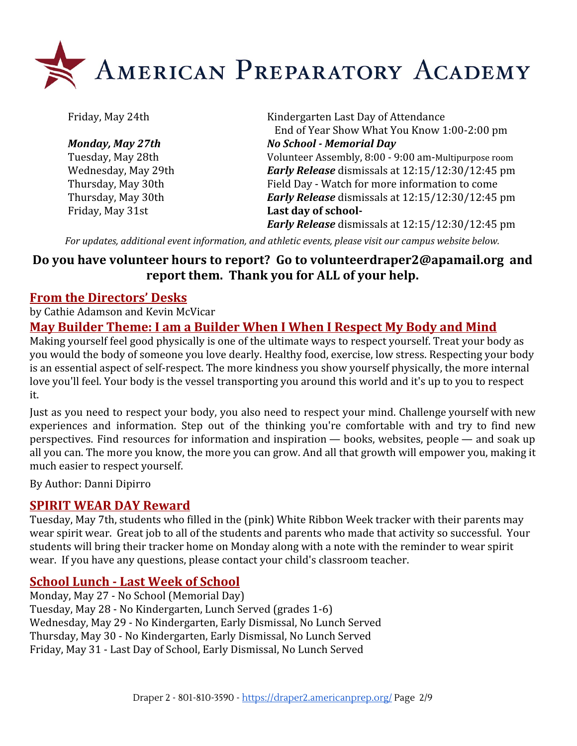

Friday, May 31st **Last day of school-**

Friday, May 24th Kindergarten Last Day of Attendance End of Year Show What You Know 1:00-2:00 pm *Monday, May 27th No School - Memorial Day* Tuesday, May 28th Volunteer Assembly, 8:00 - 9:00 am-Multipurpose room Wednesday, May 29th *Early Release* dismissals at 12:15/12:30/12:45 pm Thursday, May 30th Field Day - Watch for more information to come Thursday, May 30th *Early Release* dismissals at 12:15/12:30/12:45 pm *Early Release* dismissals at 12:15/12:30/12:45 pm

*For updates, additional event information, and athletic events, please visit our campus website below.*

## **Do you have volunteer hours to report? Go to [volunteerdraper2@apamail.org](mailto:volunteerdraper2@apamail.org) and report them. Thank you for ALL of your help.**

## **From the Directors' Desks**

by Cathie Adamson and Kevin McVicar

## **May Builder Theme: I am a Builder When I When I Respect My Body and Mind**

Making yourself feel good physically is one of the ultimate ways to respect yourself. Treat your body as you would the body of someone you love dearly. Healthy food, exercise, low stress. Respecting your body is an essential aspect of self-respect. The more kindness you show yourself physically, the more internal love you'll feel. Your body is the vessel transporting you around this world and it's up to you to respect it.

Just as you need to respect your body, you also need to respect your mind. Challenge yourself with new experiences and information. Step out of the thinking you're comfortable with and try to find new perspectives. Find resources for information and inspiration — books, websites, people — and soak up all you can. The more you know, the more you can grow. And all that growth will empower you, making it much easier to respect yourself.

By Author: Danni Dipirro

## **SPIRIT WEAR DAY Reward**

Tuesday, May 7th, students who filled in the (pink) White Ribbon Week tracker with their parents may wear spirit wear. Great job to all of the students and parents who made that activity so successful. Your students will bring their tracker home on Monday along with a note with the reminder to wear spirit wear. If you have any questions, please contact your child's classroom teacher.

## **School Lunch - Last Week of School**

Monday, May 27 - No School (Memorial Day) Tuesday, May 28 - No Kindergarten, Lunch Served (grades 1-6) Wednesday, May 29 - No Kindergarten, Early Dismissal, No Lunch Served Thursday, May 30 - No Kindergarten, Early Dismissal, No Lunch Served Friday, May 31 - Last Day of School, Early Dismissal, No Lunch Served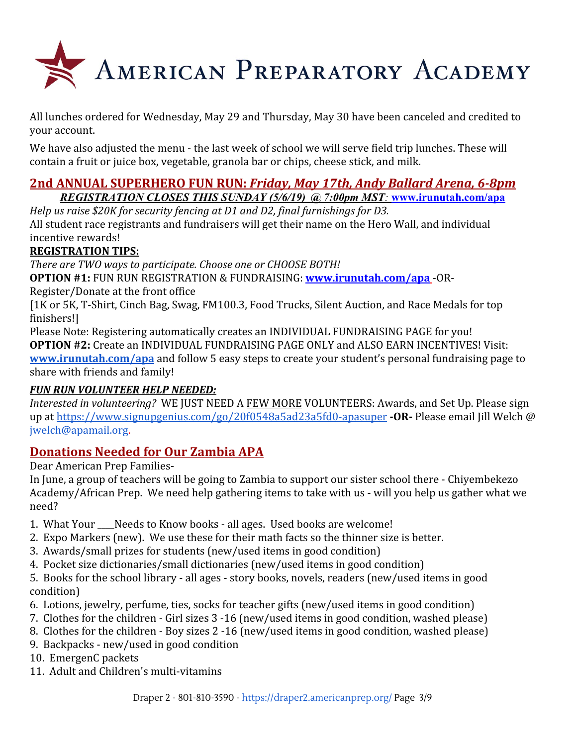

All lunches ordered for Wednesday, May 29 and Thursday, May 30 have been canceled and credited to your account.

We have also adjusted the menu - the last week of school we will serve field trip lunches. These will contain a fruit or juice box, vegetable, granola bar or chips, cheese stick, and milk.

#### **2nd ANNUAL SUPERHERO FUN RUN:** *Friday, May 17th, Andy Ballard Arena, 6-8pm REGISTRATION CLOSES THIS SUNDAY (5/6/19) @ 7:00pm MST:* **[www.irunutah.com/apa](http://www.irunutah.com/apa)**

*Help us raise \$20K for security fencing at D1 and D2, final furnishings for D3.* All student race registrants and fundraisers will get their name on the Hero Wall, and individual incentive rewards!

## **REGISTRATION TIPS:**

*There are TWO ways to participate. Choose one or CHOOSE BOTH!*

**OPTION #1:** FUN RUN REGISTRATION & FUNDRAISING: **[www.irunutah.com/apa](http://www.irunutah.com/apa)** -OR-

Register/Donate at the front office

[1K or 5K, T-Shirt, Cinch Bag, Swag, FM100.3, Food Trucks, Silent Auction, and Race Medals for top finishers!]

Please Note: Registering automatically creates an INDIVIDUAL FUNDRAISING PAGE for you! **OPTION #2:** Create an INDIVIDUAL FUNDRAISING PAGE ONLY and ALSO EARN INCENTIVES! Visit: **[www.irunutah.com/apa](http://www.irunutah.com/apa)** and follow 5 easy steps to create your student's personal fundraising page to share with friends and family!

## *FUN RUN VOLUNTEER HELP NEEDED:*

*Interested in volunteering?* WE JUST NEED A FEW MORE VOLUNTEERS: Awards, and Set Up. Please sign up at <https://www.signupgenius.com/go/20f0548a5ad23a5fd0-apasuper> **-OR-** Please email Jill Welch @ jwelch@apamail.org.

## **Donations Needed for Our Zambia APA**

Dear American Prep Families-

In June, a group of teachers will be going to Zambia to support our sister school there - Chiyembekezo Academy/African Prep. We need help gathering items to take with us - will you help us gather what we need?

- 1. What Your Needs to Know books all ages. Used books are welcome!
- 2. Expo Markers (new). We use these for their math facts so the thinner size is better.
- 3. Awards/small prizes for students (new/used items in good condition)
- 4. Pocket size dictionaries/small dictionaries (new/used items in good condition)
- 5. Books for the school library all ages story books, novels, readers (new/used items in good condition)
- 6. Lotions, jewelry, perfume, ties, socks for teacher gifts (new/used items in good condition)
- 7. Clothes for the children Girl sizes 3 -16 (new/used items in good condition, washed please)
- 8. Clothes for the children Boy sizes 2 -16 (new/used items in good condition, washed please)
- 9. Backpacks new/used in good condition
- 10. EmergenC packets
- 11. Adult and Children's multi-vitamins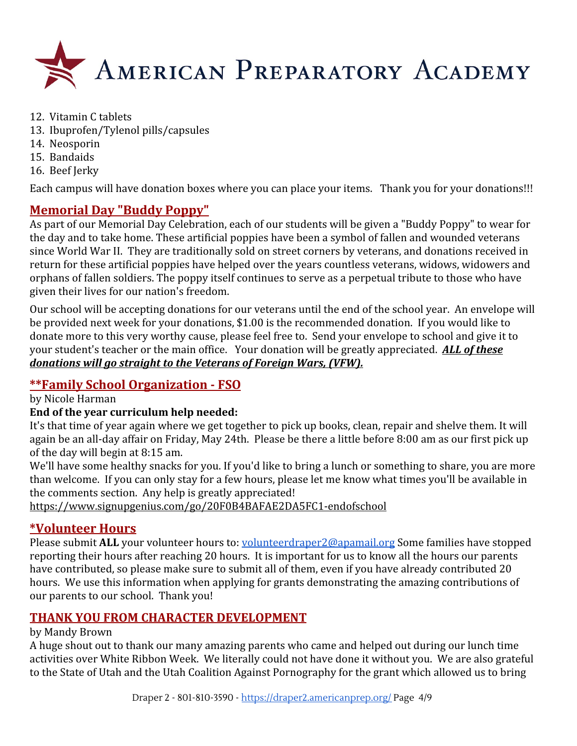

- 12. Vitamin C tablets
- 13. Ibuprofen/Tylenol pills/capsules
- 14. Neosporin
- 15. Bandaids
- 16. Beef Jerky

Each campus will have donation boxes where you can place your items. Thank you for your donations!!!

## **Memorial Day "Buddy Poppy"**

As part of our Memorial Day Celebration, each of our students will be given a "Buddy Poppy" to wear for the day and to take home. These artificial poppies have been a symbol of fallen and wounded veterans since World War II. They are traditionally sold on street corners by veterans, and donations received in return for these artificial poppies have helped over the years countless veterans, widows, widowers and orphans of fallen soldiers. The poppy itself continues to serve as a perpetual tribute to those who have given their lives for our nation's freedom.

Our school will be accepting donations for our veterans until the end of the school year. An envelope will be provided next week for your donations, \$1.00 is the recommended donation. If you would like to donate more to this very worthy cause, please feel free to. Send your envelope to school and give it to your student's teacher or the main office. Your donation will be greatly appreciated. *ALL of these donations will go straight to the Veterans of Foreign Wars, (VFW).*

## **\*\*Family School Organization - FSO**

by Nicole Harman

## **End of the year curriculum help needed:**

It's that time of year again where we get together to pick up books, clean, repair and shelve them. It will again be an all-day affair on Friday, May 24th. Please be there a little before 8:00 am as our first pick up of the day will begin at 8:15 am.

We'll have some healthy snacks for you. If you'd like to bring a lunch or something to share, you are more than welcome. If you can only stay for a few hours, please let me know what times you'll be available in the comments section. Any help is greatly appreciated!

<https://www.signupgenius.com/go/20F0B4BAFAE2DA5FC1-endofschool>

## **\*Volunteer Hours**

Please submit **ALL** your volunteer hours to: *volunteerdraper2@apamail.org* Some families have stopped reporting their hours after reaching 20 hours. It is important for us to know all the hours our parents have contributed, so please make sure to submit all of them, even if you have already contributed 20 hours. We use this information when applying for grants demonstrating the amazing contributions of our parents to our school. Thank you!

## **THANK YOU FROM CHARACTER DEVELOPMENT**

#### by Mandy Brown

A huge shout out to thank our many amazing parents who came and helped out during our lunch time activities over White Ribbon Week. We literally could not have done it without you. We are also grateful to the State of Utah and the Utah Coalition Against Pornography for the grant which allowed us to bring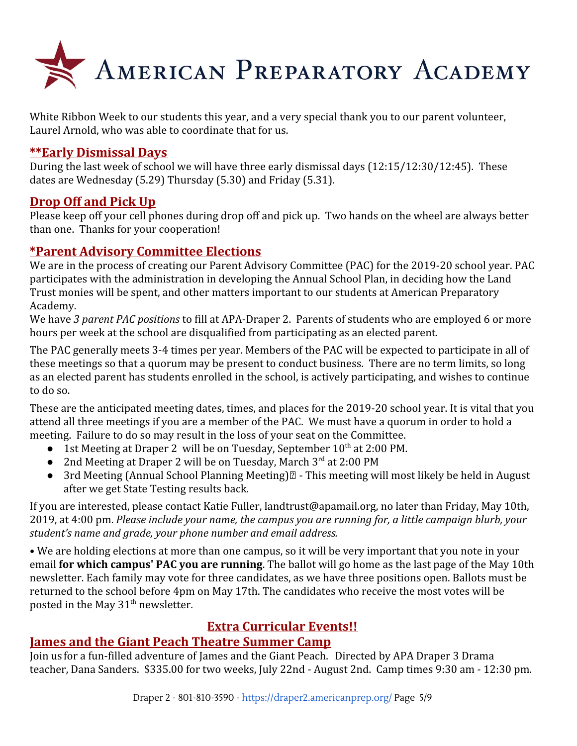

White Ribbon Week to our students this year, and a very special thank you to our parent volunteer, Laurel Arnold, who was able to coordinate that for us.

## **\*\*Early Dismissal Days**

During the last week of school we will have three early dismissal days (12:15/12:30/12:45). These dates are Wednesday (5.29) Thursday (5.30) and Friday (5.31).

## **Drop Off and Pick Up**

Please keep off your cell phones during drop off and pick up. Two hands on the wheel are always better than one. Thanks for your cooperation!

## **\*Parent Advisory Committee Elections**

We are in the process of creating our Parent Advisory Committee (PAC) for the 2019-20 school year. PAC participates with the administration in developing the Annual School Plan, in deciding how the Land Trust monies will be spent, and other matters important to our students at American Preparatory Academy.

We have *3 parent PAC positions* to fill at APA-Draper 2. Parents of students who are employed 6 or more hours per week at the school are disqualified from participating as an elected parent.

The PAC generally meets 3-4 times per year. Members of the PAC will be expected to participate in all of these meetings so that a quorum may be present to conduct business. There are no term limits, so long as an elected parent has students enrolled in the school, is actively participating, and wishes to continue to do so.

These are the anticipated meeting dates, times, and places for the 2019-20 school year. It is vital that you attend all three meetings if you are a member of the PAC. We must have a quorum in order to hold a meeting. Failure to do so may result in the loss of your seat on the Committee.

- 1st Meeting at Draper 2 will be on Tuesday, September 10<sup>th</sup> at 2:00 PM.
- 2nd Meeting at Draper 2 will be on Tuesday, March 3<sup>rd</sup> at 2:00 PM
- 3rd Meeting (Annual School Planning Meeting) $\mathbb{Z}$  This meeting will most likely be held in August after we get State Testing results back.

If you are interested, please contact Katie Fuller, landtrust@apamail.org, no later than Friday, May 10th, 2019, at 4:00 pm. *Please include your name, the campus you are running for, a little campaign blurb, your student's name and grade, your phone number and email address.*

• We are holding elections at more than one campus, so it will be very important that you note in your email **for which campus' PAC you are running**. The ballot will go home as the last page of the May 10th newsletter. Each family may vote for three candidates, as we have three positions open. Ballots must be returned to the school before 4pm on May 17th. The candidates who receive the most votes will be posted in the May  $31<sup>th</sup>$  newsletter.

## **Extra Curricular Events!!**

## **James and the Giant Peach Theatre Summer Camp**

Join us for a fun-filled adventure of James and the Giant Peach. Directed by APA Draper 3 Drama teacher, Dana Sanders. \$335.00 for two weeks, July 22nd - August 2nd. Camp times 9:30 am - 12:30 pm.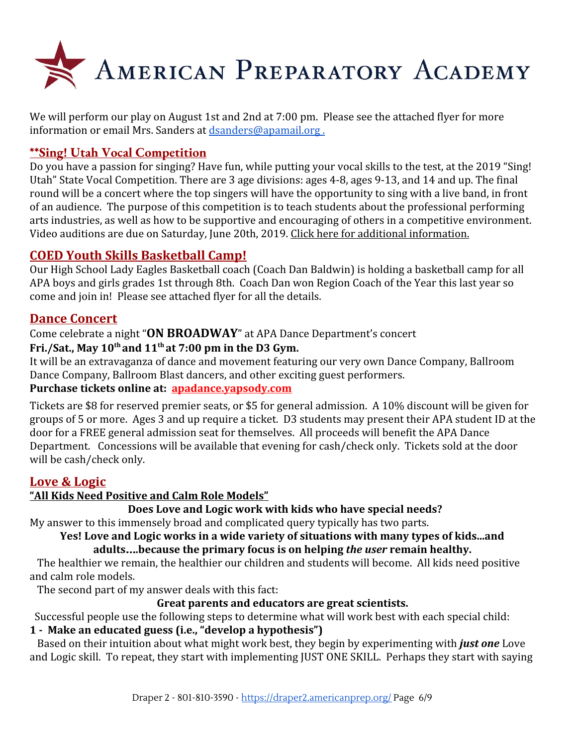

We will perform our play on August 1st and 2nd at 7:00 pm. Please see the attached flyer for more information or email Mrs. Sanders at [dsanders@apamail.org .](mailto:dsanders@apamail.org)

## **\*\*Sing! Utah Vocal Competition**

Do you have a passion for singing? Have fun, while putting your vocal skills to the test, at the 2019 "Sing! Utah" State Vocal Competition. There are 3 age divisions: ages 4-8, ages 9-13, and 14 and up. The final round will be a concert where the top singers will have the opportunity to sing with a live band, in front of an audience. The purpose of this competition is to teach students about the professional performing arts industries, as well as how to be supportive and encouraging of others in a competitive environment. Video auditions are due on Saturday, June 20th, 2019. [Click here for additional information.](https://draper3.americanprep.org/wp-content/uploads/sites/276/2019/04/Sing-Utah-2019-Vocal-Comp-Poster.jpg)

## **COED Youth Skills Basketball Camp!**

Our High School Lady Eagles Basketball coach (Coach Dan Baldwin) is holding a basketball camp for all APA boys and girls grades 1st through 8th. Coach Dan won Region Coach of the Year this last year so come and join in! Please see attached flyer for all the details.

## **Dance Concert**

Come celebrate a night "**ON BROADWAY**" at APA Dance Department's concert

## **Fri./Sat., May 10th and 11th at 7:00 pm in the D3 Gym.**

It will be an extravaganza of dance and movement featuring our very own Dance Company, Ballroom Dance Company, Ballroom Blast dancers, and other exciting guest performers.

## **Purchase tickets online at: [apadance.yapsody.com](http://apadance.yapsody.com/)**

Tickets are \$8 for reserved premier seats, or \$5 for general admission. A 10% discount will be given for groups of 5 or more. Ages 3 and up require a ticket. D3 students may present their APA student ID at the door for a FREE general admission seat for themselves. All proceeds will benefit the APA Dance Department. Concessions will be available that evening for cash/check only. Tickets sold at the door will be cash/check only.

## **Love & Logic**

## **"All Kids Need Positive and Calm Role Models"**

## **Does Love and Logic work with kids who have special needs?**

My answer to this immensely broad and complicated query typically has two parts.

#### **Yes! Love and Logic works in a wide variety of situations with many types of kids...and adults**…**.because the primary focus is on helping** *the user* **remain healthy.**

 The healthier we remain, the healthier our children and students will become. All kids need positive and calm role models.

The second part of my answer deals with this fact:

## **Great parents and educators are great scientists.**

Successful people use the following steps to determine what will work best with each special child:

## **1 - Make an educated guess (i.e., "develop a hypothesis")**

Based on their intuition about what might work best, they begin by experimenting with *just one* Love and Logic skill. To repeat, they start with implementing JUST ONE SKILL. Perhaps they start with saying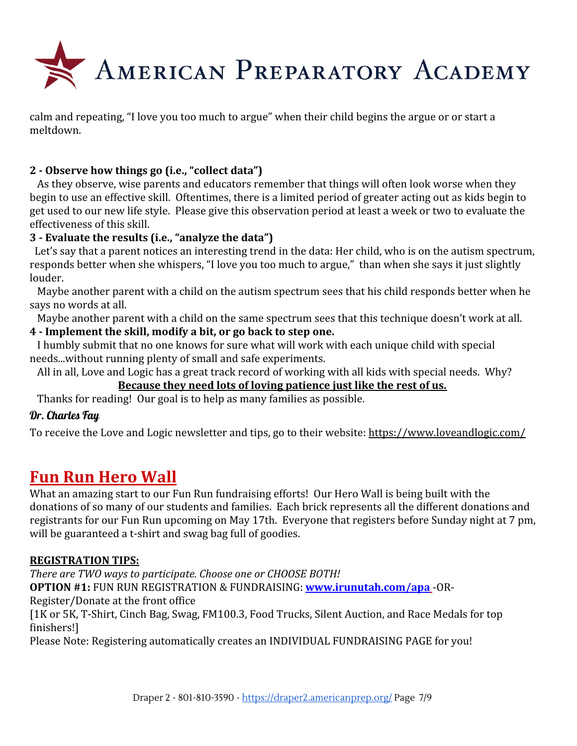

calm and repeating, "I love you too much to argue" when their child begins the argue or or start a meltdown.

## **2 - Observe how things go (i.e., "collect data")**

As they observe, wise parents and educators remember that things will often look worse when they begin to use an effective skill. Oftentimes, there is a limited period of greater acting out as kids begin to get used to our new life style. Please give this observation period at least a week or two to evaluate the effectiveness of this skill.

## **3 - Evaluate the results (i.e., "analyze the data")**

 Let's say that a parent notices an interesting trend in the data: Her child, who is on the autism spectrum, responds better when she whispers, "I love you too much to argue," than when she says it just slightly louder.

 Maybe another parent with a child on the autism spectrum sees that his child responds better when he says no words at all.

Maybe another parent with a child on the same spectrum sees that this technique doesn't work at all.

#### **4 - Implement the skill, modify a bit, or go back to step one.**

 I humbly submit that no one knows for sure what will work with each unique child with special needs...without running plenty of small and safe experiments.

 All in all, Love and Logic has a great track record of working with all kids with special needs. Why? **Because they need lots of loving patience just like the rest of us.**

Thanks for reading! Our goal is to help as many families as possible.

## Dr. Charles Fay

To receive the Love and Logic newsletter and tips, go to their website: <https://www.loveandlogic.com/>

## **Fun Run Hero Wall**

What an amazing start to our Fun Run fundraising efforts! Our Hero Wall is being built with the donations of so many of our students and families. Each brick represents all the different donations and registrants for our Fun Run upcoming on May 17th. Everyone that registers before Sunday night at 7 pm, will be guaranteed a t-shirt and swag bag full of goodies.

#### **REGISTRATION TIPS:**

*There are TWO ways to participate. Choose one or CHOOSE BOTH!* **OPTION #1:** FUN RUN REGISTRATION & FUNDRAISING: **[www.irunutah.com/apa](http://www.irunutah.com/apa)** -OR-Register/Donate at the front office

[1K or 5K, T-Shirt, Cinch Bag, Swag, FM100.3, Food Trucks, Silent Auction, and Race Medals for top finishers!]

Please Note: Registering automatically creates an INDIVIDUAL FUNDRAISING PAGE for you!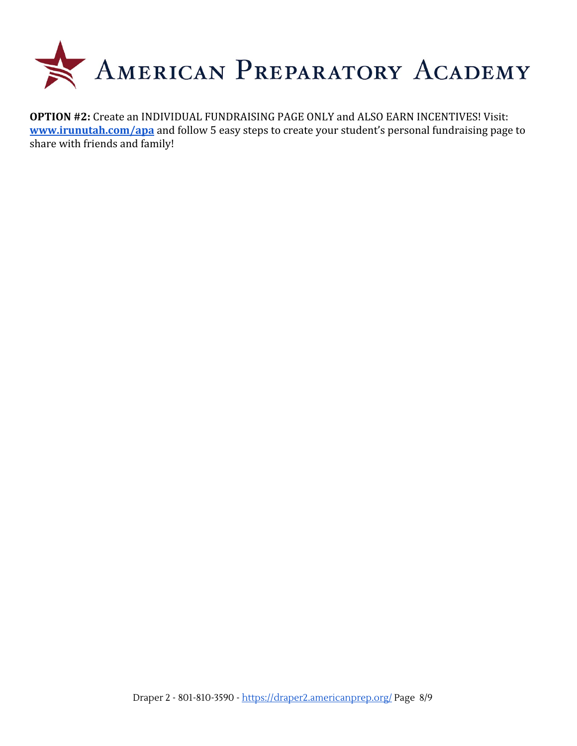

**OPTION #2:** Create an INDIVIDUAL FUNDRAISING PAGE ONLY and ALSO EARN INCENTIVES! Visit: **[www.irunutah.com/apa](http://www.irunutah.com/apa)** and follow 5 easy steps to create your student's personal fundraising page to share with friends and family!